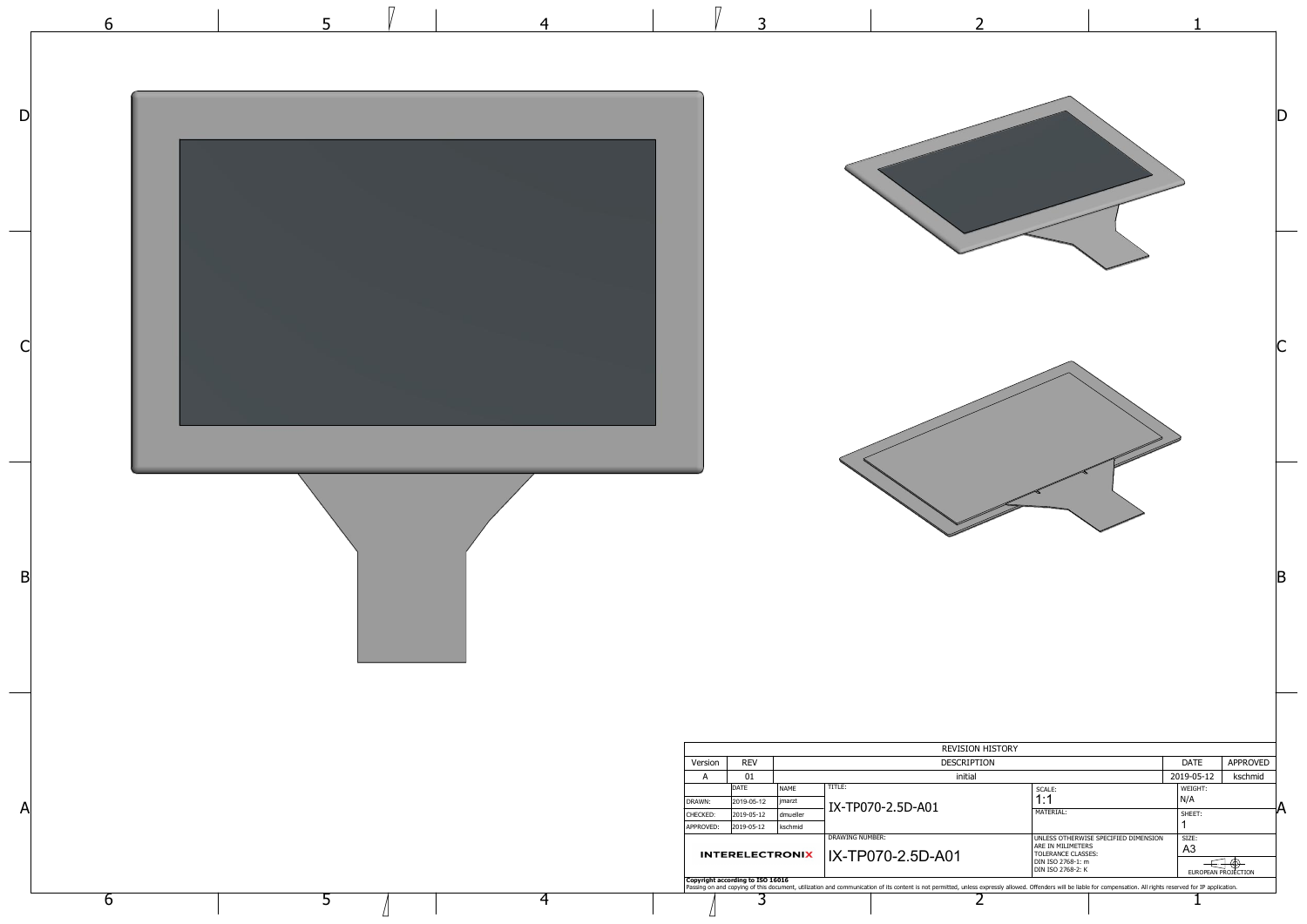

|                                                                                                                           | 1                                                                              |                     |   |
|---------------------------------------------------------------------------------------------------------------------------|--------------------------------------------------------------------------------|---------------------|---|
|                                                                                                                           |                                                                                |                     |   |
|                                                                                                                           |                                                                                |                     |   |
| Þ<br><b>Contract Contract Contract Contract Contract Contract Contract Contract Contract Contract Contract Contract C</b> |                                                                                |                     | B |
| history<br>ИC<br>SCALE:<br>1:1<br>MATERIAL:<br>UNLESS OTHERWISE SPECIFIED DIMENSION<br>ARE IN MILIMETERS                  | DATE<br>2019-05-12<br>WEIGHT:<br>N/A<br>SHEET:<br>1<br>SIZE:<br>A <sub>3</sub> | APPROVED<br>kschmid | А |